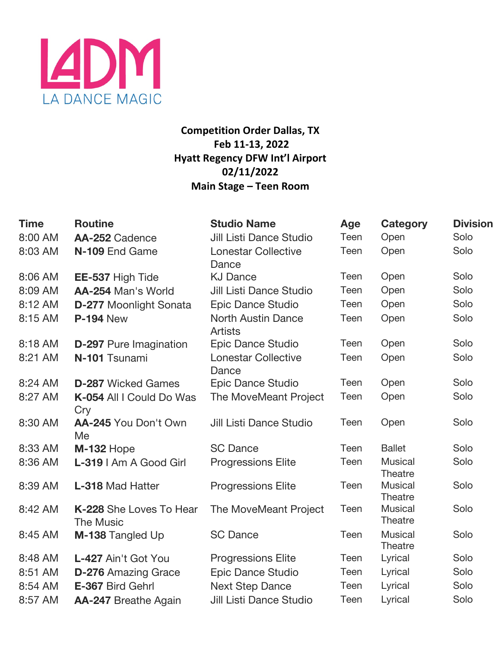

# **Competition Order Dallas, TX Feb 11-13, 2022 Hyatt Regency DFW Int'l Airport 02/11/2022 Main Stage – Teen Room**

| <b>Time</b> | <b>Routine</b>                              | <b>Studio Name</b>                          | Age  | <b>Category</b>           | <b>Division</b> |
|-------------|---------------------------------------------|---------------------------------------------|------|---------------------------|-----------------|
| 8:00 AM     | AA-252 Cadence                              | <b>Jill Listi Dance Studio</b>              | Teen | Open                      | Solo            |
| 8:03 AM     | N-109 End Game                              | <b>Lonestar Collective</b><br>Dance         | Teen | Open                      | Solo            |
| 8:06 AM     | EE-537 High Tide                            | <b>KJ Dance</b>                             | Teen | Open                      | Solo            |
| 8:09 AM     | AA-254 Man's World                          | <b>Jill Listi Dance Studio</b>              | Teen | Open                      | Solo            |
| 8:12 AM     | <b>D-277 Moonlight Sonata</b>               | Epic Dance Studio                           | Teen | Open                      | Solo            |
| 8:15 AM     | <b>P-194 New</b>                            | <b>North Austin Dance</b><br><b>Artists</b> | Teen | Open                      | Solo            |
| 8:18 AM     | <b>D-297</b> Pure Imagination               | Epic Dance Studio                           | Teen | Open                      | Solo            |
| 8:21 AM     | N-101 Tsunami                               | <b>Lonestar Collective</b><br>Dance         | Teen | Open                      | Solo            |
| 8:24 AM     | <b>D-287</b> Wicked Games                   | Epic Dance Studio                           | Teen | Open                      | Solo            |
| 8:27 AM     | K-054 All I Could Do Was<br>Cry             | The MoveMeant Project                       | Teen | Open                      | Solo            |
| 8:30 AM     | AA-245 You Don't Own<br>Me                  | Jill Listi Dance Studio                     | Teen | Open                      | Solo            |
| 8:33 AM     | <b>M-132 Hope</b>                           | <b>SC Dance</b>                             | Teen | <b>Ballet</b>             | Solo            |
| 8:36 AM     | L-319   Am A Good Girl                      | <b>Progressions Elite</b>                   | Teen | <b>Musical</b><br>Theatre | Solo            |
| 8:39 AM     | <b>L-318 Mad Hatter</b>                     | <b>Progressions Elite</b>                   | Teen | Musical<br>Theatre        | Solo            |
| 8:42 AM     | K-228 She Loves To Hear<br><b>The Music</b> | The MoveMeant Project                       | Teen | <b>Musical</b><br>Theatre | Solo            |
| 8:45 AM     | M-138 Tangled Up                            | <b>SC Dance</b>                             | Teen | <b>Musical</b><br>Theatre | Solo            |
| 8:48 AM     | L-427 Ain't Got You                         | <b>Progressions Elite</b>                   | Teen | Lyrical                   | Solo            |
| 8:51 AM     | <b>D-276 Amazing Grace</b>                  | <b>Epic Dance Studio</b>                    | Teen | Lyrical                   | Solo            |
| 8:54 AM     | E-367 Bird Gehrl                            | <b>Next Step Dance</b>                      | Teen | Lyrical                   | Solo            |
| 8:57 AM     | <b>AA-247</b> Breathe Again                 | <b>Jill Listi Dance Studio</b>              | Teen | Lyrical                   | Solo            |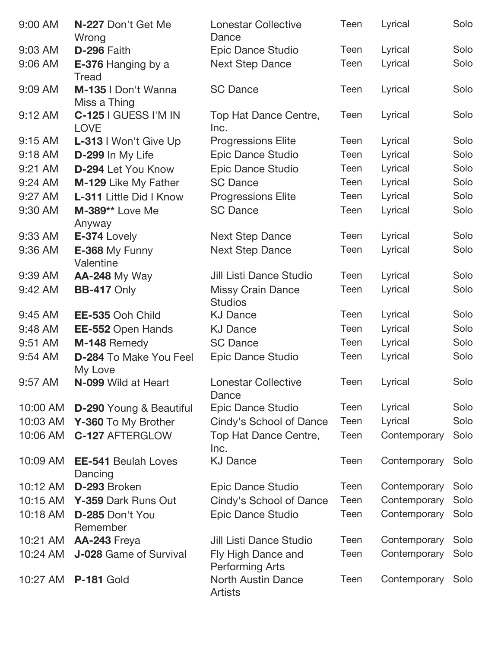| 9:00 AM   | N-227 Don't Get Me<br>Wrong              | <b>Lonestar Collective</b><br>Dance          | Teen | Lyrical      | Solo |
|-----------|------------------------------------------|----------------------------------------------|------|--------------|------|
| 9:03 AM   | D-296 Faith                              | <b>Epic Dance Studio</b>                     | Teen | Lyrical      | Solo |
| 9:06 AM   | E-376 Hanging by a<br><b>Tread</b>       | <b>Next Step Dance</b>                       | Teen | Lyrical      | Solo |
| 9:09 AM   | M-135   Don't Wanna<br>Miss a Thing      | <b>SC Dance</b>                              | Teen | Lyrical      | Solo |
| 9:12 AM   | C-125 I GUESS I'M IN<br><b>LOVE</b>      | Top Hat Dance Centre,<br>Inc.                | Teen | Lyrical      | Solo |
| $9:15$ AM | L-313   Won't Give Up                    | <b>Progressions Elite</b>                    | Teen | Lyrical      | Solo |
| 9:18 AM   | D-299 In My Life                         | <b>Epic Dance Studio</b>                     | Teen | Lyrical      | Solo |
| 9:21 AM   | D-294 Let You Know                       | Epic Dance Studio                            | Teen | Lyrical      | Solo |
| 9:24 AM   | M-129 Like My Father                     | <b>SC Dance</b>                              | Teen | Lyrical      | Solo |
| 9:27 AM   | <b>L-311</b> Little Did I Know           | <b>Progressions Elite</b>                    | Teen | Lyrical      | Solo |
| 9:30 AM   | M-389** Love Me<br>Anyway                | <b>SC Dance</b>                              | Teen | Lyrical      | Solo |
| 9:33 AM   | E-374 Lovely                             | Next Step Dance                              | Teen | Lyrical      | Solo |
| 9:36 AM   | E-368 My Funny<br>Valentine              | <b>Next Step Dance</b>                       | Teen | Lyrical      | Solo |
| 9:39 AM   | <b>AA-248 My Way</b>                     | Jill Listi Dance Studio                      | Teen | Lyrical      | Solo |
| 9:42 AM   | <b>BB-417 Only</b>                       | <b>Missy Crain Dance</b><br><b>Studios</b>   | Teen | Lyrical      | Solo |
| 9:45 AM   | EE-535 Ooh Child                         | <b>KJ Dance</b>                              | Teen | Lyrical      | Solo |
| 9:48 AM   | EE-552 Open Hands                        | <b>KJ Dance</b>                              | Teen | Lyrical      | Solo |
| 9:51 AM   | M-148 Remedy                             | <b>SC Dance</b>                              | Teen | Lyrical      | Solo |
| 9:54 AM   | <b>D-284 To Make You Feel</b><br>My Love | Epic Dance Studio                            | Teen | Lyrical      | Solo |
| 9:57 AM   | N-099 Wild at Heart                      | <b>Lonestar Collective</b><br>Dance          | Teen | Lyrical      | Solo |
| 10:00 AM  | <b>D-290</b> Young & Beautiful           | Epic Dance Studio                            | Teen | Lyrical      | Solo |
| 10:03 AM  | Y-360 To My Brother                      | Cindy's School of Dance                      | Teen | Lyrical      | Solo |
| 10:06 AM  | <b>C-127 AFTERGLOW</b>                   | Top Hat Dance Centre,<br>Inc.                | Teen | Contemporary | Solo |
| 10:09 AM  | <b>EE-541 Beulah Loves</b><br>Dancing    | <b>KJ Dance</b>                              | Teen | Contemporary | Solo |
| 10:12 AM  | D-293 Broken                             | Epic Dance Studio                            | Teen | Contemporary | Solo |
| 10:15 AM  | Y-359 Dark Runs Out                      | Cindy's School of Dance                      | Teen | Contemporary | Solo |
| 10:18 AM  | D-285 Don't You<br>Remember              | Epic Dance Studio                            | Teen | Contemporary | Solo |
| 10:21 AM  | AA-243 Freya                             | <b>Jill Listi Dance Studio</b>               | Teen | Contemporary | Solo |
| 10:24 AM  | J-028 Game of Survival                   | Fly High Dance and<br><b>Performing Arts</b> | Teen | Contemporary | Solo |
| 10:27 AM  | <b>P-181 Gold</b>                        | <b>North Austin Dance</b><br><b>Artists</b>  | Teen | Contemporary | Solo |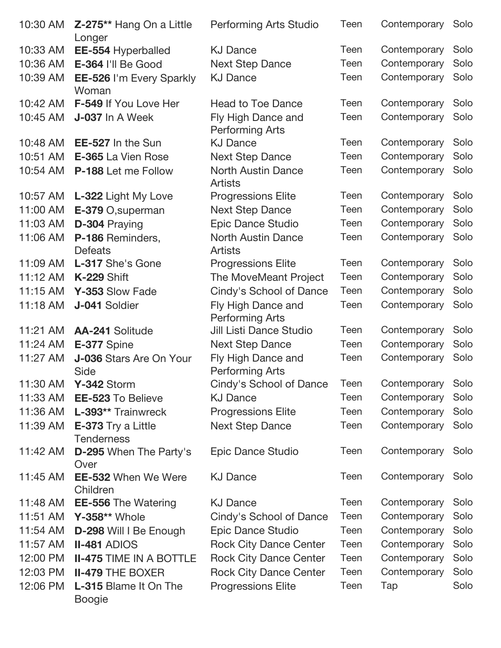| 10:30 AM | <b>Z-275** Hang On a Little</b><br>Longer     | <b>Performing Arts Studio</b>                | Teen | Contemporary      | Solo |
|----------|-----------------------------------------------|----------------------------------------------|------|-------------------|------|
| 10:33 AM | EE-554 Hyperballed                            | <b>KJ Dance</b>                              | Teen | Contemporary      | Solo |
| 10:36 AM | E-364 I'll Be Good                            | <b>Next Step Dance</b>                       | Teen | Contemporary      | Solo |
| 10:39 AM | EE-526 I'm Every Sparkly<br>Woman             | <b>KJ Dance</b>                              | Teen | Contemporary      | Solo |
| 10:42 AM | F-549 If You Love Her                         | <b>Head to Toe Dance</b>                     | Teen | Contemporary      | Solo |
| 10:45 AM | J-037 In A Week                               | Fly High Dance and<br><b>Performing Arts</b> | Teen | Contemporary      | Solo |
| 10:48 AM | <b>EE-527</b> In the Sun                      | <b>KJ Dance</b>                              | Teen | Contemporary      | Solo |
| 10:51 AM | <b>E-365</b> La Vien Rose                     | <b>Next Step Dance</b>                       | Teen | Contemporary      | Solo |
| 10:54 AM | <b>P-188</b> Let me Follow                    | <b>North Austin Dance</b><br><b>Artists</b>  | Teen | Contemporary      | Solo |
| 10:57 AM | L-322 Light My Love                           | <b>Progressions Elite</b>                    | Teen | Contemporary      | Solo |
| 11:00 AM | E-379 O, superman                             | <b>Next Step Dance</b>                       | Teen | Contemporary      | Solo |
| 11:03 AM | D-304 Praying                                 | <b>Epic Dance Studio</b>                     | Teen | Contemporary      | Solo |
| 11:06 AM | P-186 Reminders,<br><b>Defeats</b>            | <b>North Austin Dance</b><br><b>Artists</b>  | Teen | Contemporary      | Solo |
| 11:09 AM | L-317 She's Gone                              | <b>Progressions Elite</b>                    | Teen | Contemporary      | Solo |
| 11:12 AM | <b>K-229 Shift</b>                            | The MoveMeant Project                        | Teen | Contemporary      | Solo |
| 11:15 AM | Y-353 Slow Fade                               | Cindy's School of Dance                      | Teen | Contemporary      | Solo |
| 11:18 AM | J-041 Soldier                                 | Fly High Dance and<br><b>Performing Arts</b> | Teen | Contemporary      | Solo |
| 11:21 AM | AA-241 Solitude                               | <b>Jill Listi Dance Studio</b>               | Teen | Contemporary      | Solo |
| 11:24 AM | E-377 Spine                                   | <b>Next Step Dance</b>                       | Teen | Contemporary      | Solo |
| 11:27 AM | J-036 Stars Are On Your<br>Side               | Fly High Dance and<br><b>Performing Arts</b> | Teen | Contemporary      | Solo |
| 11:30 AM | Y-342 Storm                                   | Cindy's School of Dance                      | Teen | Contemporary Solo |      |
| 11:33 AM | <b>EE-523 To Believe</b>                      | <b>KJ Dance</b>                              | Teen | Contemporary      | Solo |
| 11:36 AM | L-393** Trainwreck                            | <b>Progressions Elite</b>                    | Teen | Contemporary      | Solo |
| 11:39 AM | E-373 Try a Little<br><b>Tenderness</b>       | <b>Next Step Dance</b>                       | Teen | Contemporary      | Solo |
| 11:42 AM | <b>D-295</b> When The Party's<br>Over         | Epic Dance Studio                            | Teen | Contemporary      | Solo |
| 11:45 AM | <b>EE-532 When We Were</b><br>Children        | <b>KJ Dance</b>                              | Teen | Contemporary      | Solo |
| 11:48 AM | <b>EE-556 The Watering</b>                    | <b>KJ Dance</b>                              | Teen | Contemporary      | Solo |
| 11:51 AM | Y-358** Whole                                 | Cindy's School of Dance                      | Teen | Contemporary      | Solo |
| 11:54 AM | D-298 Will I Be Enough                        | <b>Epic Dance Studio</b>                     | Teen | Contemporary      | Solo |
| 11:57 AM | <b>II-481 ADIOS</b>                           | <b>Rock City Dance Center</b>                | Teen | Contemporary      | Solo |
| 12:00 PM | <b>II-475 TIME IN A BOTTLE</b>                | <b>Rock City Dance Center</b>                | Teen | Contemporary      | Solo |
| 12:03 PM | <b>II-479 THE BOXER</b>                       | <b>Rock City Dance Center</b>                | Teen | Contemporary      | Solo |
| 12:06 PM | <b>L-315 Blame It On The</b><br><b>Boogie</b> | <b>Progressions Elite</b>                    | Teen | Tap               | Solo |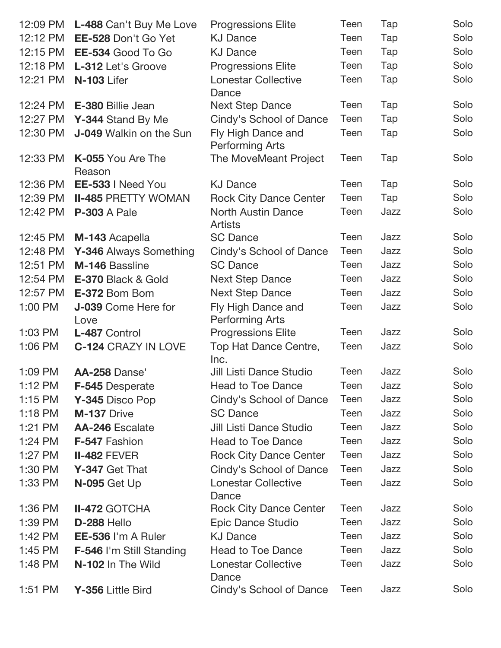| 12:09 PM  | L-488 Can't Buy Me Love        | <b>Progressions Elite</b>                    | Teen        | Tap  | Solo |
|-----------|--------------------------------|----------------------------------------------|-------------|------|------|
| 12:12 PM  | EE-528 Don't Go Yet            | <b>KJ Dance</b>                              | Teen        | Tap  | Solo |
| 12:15 PM  | EE-534 Good To Go              | <b>KJ Dance</b>                              | Teen        | Tap  | Solo |
| 12:18 PM  | L-312 Let's Groove             | <b>Progressions Elite</b>                    | Teen        | Tap  | Solo |
| 12:21 PM  | N-103 Lifer                    | <b>Lonestar Collective</b><br>Dance          | Teen        | Tap  | Solo |
| 12:24 PM  | E-380 Billie Jean              | <b>Next Step Dance</b>                       | Teen        | Tap  | Solo |
| 12:27 PM  | Y-344 Stand By Me              | Cindy's School of Dance                      | Teen        | Tap  | Solo |
| 12:30 PM  | <b>J-049</b> Walkin on the Sun | Fly High Dance and<br><b>Performing Arts</b> | Teen        | Tap  | Solo |
| 12:33 PM  | K-055 You Are The<br>Reason    | The MoveMeant Project                        | Teen        | Tap  | Solo |
| 12:36 PM  | EE-533   Need You              | <b>KJ Dance</b>                              | Teen        | Tap  | Solo |
| 12:39 PM  | <b>II-485 PRETTY WOMAN</b>     | <b>Rock City Dance Center</b>                | Teen        | Tap  | Solo |
| 12:42 PM  | <b>P-303 A Pale</b>            | <b>North Austin Dance</b><br><b>Artists</b>  | Teen        | Jazz | Solo |
| 12:45 PM  | M-143 Acapella                 | <b>SC Dance</b>                              | Teen        | Jazz | Solo |
| 12:48 PM  | Y-346 Always Something         | Cindy's School of Dance                      | Teen        | Jazz | Solo |
| 12:51 PM  | M-146 Bassline                 | <b>SC Dance</b>                              | Teen        | Jazz | Solo |
| 12:54 PM  | E-370 Black & Gold             | <b>Next Step Dance</b>                       | Teen        | Jazz | Solo |
| 12:57 PM  | E-372 Bom Bom                  | Next Step Dance                              | Teen        | Jazz | Solo |
| 1:00 PM   | <b>J-039</b> Come Here for     | Fly High Dance and                           | Teen        | Jazz | Solo |
|           | Love                           | <b>Performing Arts</b>                       |             |      |      |
| $1:03$ PM | L-487 Control                  | <b>Progressions Elite</b>                    | Teen        | Jazz | Solo |
| 1:06 PM   | <b>C-124 CRAZY IN LOVE</b>     | Top Hat Dance Centre,<br>Inc.                | Teen        | Jazz | Solo |
| 1:09 PM   | AA-258 Danse'                  | <b>Jill Listi Dance Studio</b>               | <b>Teen</b> | Jazz | Solo |
| 1:12 PM   | F-545 Desperate                | Head to Toe Dance                            | Teen        | Jazz | Solo |
| 1:15 PM   | Y-345 Disco Pop                | Cindy's School of Dance                      | Teen        | Jazz | Solo |
| $1:18$ PM | M-137 Drive                    | <b>SC Dance</b>                              | Teen        | Jazz | Solo |
| 1:21 PM   | <b>AA-246 Escalate</b>         | <b>Jill Listi Dance Studio</b>               | Teen        | Jazz | Solo |
| 1:24 PM   | F-547 Fashion                  | <b>Head to Toe Dance</b>                     | Teen        | Jazz | Solo |
| 1:27 PM   | <b>II-482 FEVER</b>            | <b>Rock City Dance Center</b>                | Teen        | Jazz | Solo |
| 1:30 PM   | Y-347 Get That                 | Cindy's School of Dance                      | Teen        | Jazz | Solo |
| 1:33 PM   | $N-095$ Get Up                 | <b>Lonestar Collective</b><br>Dance          | Teen        | Jazz | Solo |
| 1:36 PM   | <b>II-472 GOTCHA</b>           | <b>Rock City Dance Center</b>                | Teen        | Jazz | Solo |
| 1:39 PM   | D-288 Hello                    | Epic Dance Studio                            | Teen        | Jazz | Solo |
| 1:42 PM   | EE-536 I'm A Ruler             | <b>KJ Dance</b>                              | Teen        | Jazz | Solo |
| $1:45$ PM | F-546 I'm Still Standing       | <b>Head to Toe Dance</b>                     | Teen        | Jazz | Solo |
| 1:48 PM   | N-102 In The Wild              | <b>Lonestar Collective</b><br>Dance          | Teen        | Jazz | Solo |
| 1:51 PM   | Y-356 Little Bird              | Cindy's School of Dance                      | Teen        | Jazz | Solo |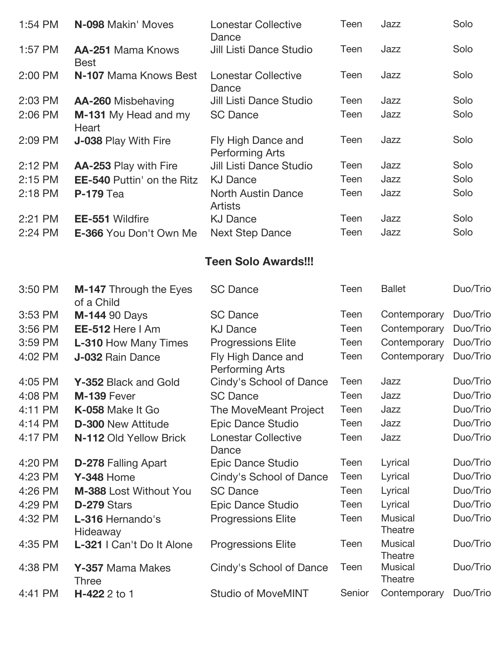| 1:54 PM | N-098 Makin' Moves                          | <b>Lonestar Collective</b><br>Dance          | Teen        | Jazz                             | Solo     |
|---------|---------------------------------------------|----------------------------------------------|-------------|----------------------------------|----------|
| 1:57 PM | <b>AA-251 Mama Knows</b><br><b>Best</b>     | <b>Jill Listi Dance Studio</b>               | Teen        | Jazz                             | Solo     |
| 2:00 PM | N-107 Mama Knows Best                       | <b>Lonestar Collective</b><br>Dance          | Teen        | Jazz                             | Solo     |
| 2:03 PM | AA-260 Misbehaving                          | <b>Jill Listi Dance Studio</b>               | Teen        | Jazz                             | Solo     |
| 2:06 PM | M-131 My Head and my<br>Heart               | <b>SC Dance</b>                              | Teen        | Jazz                             | Solo     |
| 2:09 PM | J-038 Play With Fire                        | Fly High Dance and<br><b>Performing Arts</b> | Teen        | Jazz                             | Solo     |
| 2:12 PM | AA-253 Play with Fire                       | Jill Listi Dance Studio                      | Teen        | Jazz                             | Solo     |
| 2:15 PM | <b>EE-540 Puttin' on the Ritz</b>           | <b>KJ Dance</b>                              | Teen        | Jazz                             | Solo     |
| 2:18 PM | <b>P-179</b> Tea                            | <b>North Austin Dance</b><br><b>Artists</b>  | Teen        | Jazz                             | Solo     |
| 2:21 PM | <b>EE-551 Wildfire</b>                      | <b>KJ Dance</b>                              | Teen        | Jazz                             | Solo     |
| 2:24 PM | E-366 You Don't Own Me                      | <b>Next Step Dance</b>                       | Teen        | Jazz                             | Solo     |
|         |                                             | <b>Teen Solo Awards!!!</b>                   |             |                                  |          |
| 3:50 PM | <b>M-147</b> Through the Eyes<br>of a Child | <b>SC Dance</b>                              | Teen        | <b>Ballet</b>                    | Duo/Trio |
| 3:53 PM | <b>M-144 90 Days</b>                        | <b>SC Dance</b>                              | Teen        | Contemporary                     | Duo/Trio |
| 3:56 PM | EE-512 Here I Am                            | <b>KJ Dance</b>                              | Teen        | Contemporary                     | Duo/Trio |
| 3:59 PM | <b>L-310 How Many Times</b>                 | <b>Progressions Elite</b>                    | Teen        | Contemporary                     | Duo/Trio |
| 4:02 PM | <b>J-032 Rain Dance</b>                     | Fly High Dance and<br><b>Performing Arts</b> | Teen        | Contemporary                     | Duo/Trio |
| 4:05 PM | Y-352 Black and Gold                        | Cindy's School of Dance                      | Teen        | Jazz                             | Duo/Trio |
| 4:08 PM | M-139 Fever                                 | <b>SC Dance</b>                              | Teen        | Jazz                             | Duo/Trio |
| 4:11 PM | K-058 Make It Go                            | The MoveMeant Project                        | Teen        | Jazz                             | Duo/Trio |
| 4:14 PM | <b>D-300 New Attitude</b>                   | Epic Dance Studio                            | Teen        | Jazz                             | Duo/Trio |
| 4:17 PM | N-112 Old Yellow Brick                      | <b>Lonestar Collective</b><br>Dance          | <b>Teen</b> | Jazz                             | Duo/Trio |
| 4:20 PM | <b>D-278 Falling Apart</b>                  | Epic Dance Studio                            | Teen        | Lyrical                          | Duo/Trio |
| 4:23 PM | <b>Y-348 Home</b>                           | Cindy's School of Dance                      | Teen        | Lyrical                          | Duo/Trio |
| 4:26 PM | M-388 Lost Without You                      | <b>SC Dance</b>                              | Teen        | Lyrical                          | Duo/Trio |
| 4:29 PM | D-279 Stars                                 | Epic Dance Studio                            | Teen        | Lyrical                          | Duo/Trio |
| 4:32 PM | L-316 Hernando's<br>Hideaway                | <b>Progressions Elite</b>                    | Teen        | <b>Musical</b><br>Theatre        | Duo/Trio |
| 4:35 PM | L-321   Can't Do It Alone                   | <b>Progressions Elite</b>                    | Teen        | <b>Musical</b><br><b>Theatre</b> | Duo/Trio |
| 4:38 PM | Y-357 Mama Makes<br><b>Three</b>            | Cindy's School of Dance                      | Teen        | <b>Musical</b><br>Theatre        | Duo/Trio |
| 4:41 PM | H-422 2 to 1                                | <b>Studio of MoveMINT</b>                    | Senior      | Contemporary                     | Duo/Trio |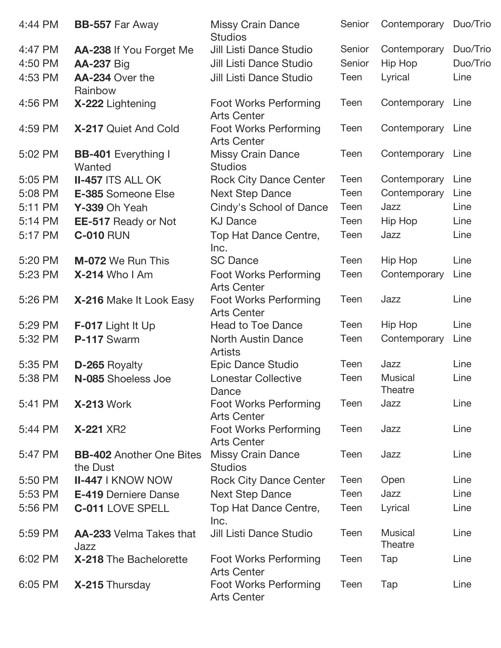| 4:44 PM | <b>BB-557 Far Away</b>                      | <b>Missy Crain Dance</b><br><b>Studios</b>         | Senior | Contemporary                     | Duo/Trio |
|---------|---------------------------------------------|----------------------------------------------------|--------|----------------------------------|----------|
| 4:47 PM | AA-238 If You Forget Me                     | <b>Jill Listi Dance Studio</b>                     | Senior | Contemporary                     | Duo/Trio |
| 4:50 PM | <b>AA-237 Big</b>                           | Jill Listi Dance Studio                            | Senior | Hip Hop                          | Duo/Trio |
| 4:53 PM | AA-234 Over the<br>Rainbow                  | <b>Jill Listi Dance Studio</b>                     | Teen   | Lyrical                          | Line     |
| 4:56 PM | X-222 Lightening                            | <b>Foot Works Performing</b><br><b>Arts Center</b> | Teen   | Contemporary                     | Line     |
| 4:59 PM | X-217 Quiet And Cold                        | <b>Foot Works Performing</b><br><b>Arts Center</b> | Teen   | Contemporary                     | Line     |
| 5:02 PM | <b>BB-401</b> Everything I<br>Wanted        | <b>Missy Crain Dance</b><br><b>Studios</b>         | Teen   | Contemporary                     | Line     |
| 5:05 PM | <b>II-457 ITS ALL OK</b>                    | <b>Rock City Dance Center</b>                      | Teen   | Contemporary                     | Line     |
| 5:08 PM | E-385 Someone Else                          | <b>Next Step Dance</b>                             | Teen   | Contemporary                     | Line     |
| 5:11 PM | Y-339 Oh Yeah                               | Cindy's School of Dance                            | Teen   | Jazz                             | Line     |
| 5:14 PM | EE-517 Ready or Not                         | <b>KJ Dance</b>                                    | Teen   | Hip Hop                          | Line     |
| 5:17 PM | <b>C-010 RUN</b>                            | Top Hat Dance Centre,<br>Inc.                      | Teen   | Jazz                             | Line     |
| 5:20 PM | <b>M-072</b> We Run This                    | <b>SC Dance</b>                                    | Teen   | Hip Hop                          | Line     |
| 5:23 PM | X-214 Who I Am                              | <b>Foot Works Performing</b><br><b>Arts Center</b> | Teen   | Contemporary                     | Line     |
| 5:26 PM | X-216 Make It Look Easy                     | <b>Foot Works Performing</b><br><b>Arts Center</b> | Teen   | Jazz                             | Line     |
| 5:29 PM | F-017 Light It Up                           | <b>Head to Toe Dance</b>                           | Teen   | Hip Hop                          | Line     |
| 5:32 PM | P-117 Swarm                                 | <b>North Austin Dance</b><br><b>Artists</b>        | Teen   | Contemporary                     | Line     |
| 5:35 PM | D-265 Royalty                               | Epic Dance Studio                                  | Teen   | Jazz                             | Line     |
| 5:38 PM | N-085 Shoeless Joe                          | <b>Lonestar Collective</b><br>Dance                | Teen   | <b>Musical</b><br><b>Theatre</b> | Line     |
| 5:41 PM | <b>X-213 Work</b>                           | <b>Foot Works Performing</b><br><b>Arts Center</b> | Teen   | Jazz                             | Line     |
| 5:44 PM | <b>X-221 XR2</b>                            | <b>Foot Works Performing</b><br><b>Arts Center</b> | Teen   | Jazz                             | Line     |
| 5:47 PM | <b>BB-402</b> Another One Bites<br>the Dust | <b>Missy Crain Dance</b><br><b>Studios</b>         | Teen   | Jazz                             | Line     |
| 5:50 PM | <b>II-447   KNOW NOW</b>                    | <b>Rock City Dance Center</b>                      | Teen   | Open                             | Line     |
| 5:53 PM | <b>E-419 Derniere Danse</b>                 | <b>Next Step Dance</b>                             | Teen   | Jazz                             | Line     |
| 5:56 PM | <b>C-011 LOVE SPELL</b>                     | Top Hat Dance Centre,<br>Inc.                      | Teen   | Lyrical                          | Line     |
| 5:59 PM | <b>AA-233</b> Velma Takes that<br>Jazz      | <b>Jill Listi Dance Studio</b>                     | Teen   | <b>Musical</b><br>Theatre        | Line     |
| 6:02 PM | X-218 The Bachelorette                      | Foot Works Performing<br><b>Arts Center</b>        | Teen   | Tap                              | Line     |
| 6:05 PM | X-215 Thursday                              | <b>Foot Works Performing</b><br><b>Arts Center</b> | Teen   | Tap                              | Line     |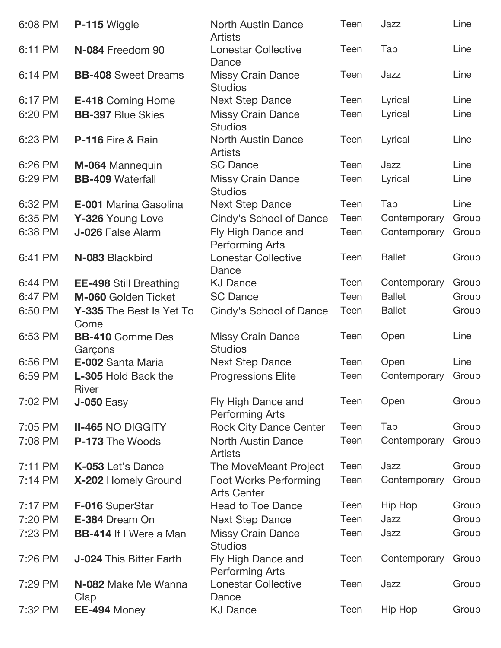| 6:08 PM | P-115 Wiggle                        | <b>North Austin Dance</b><br><b>Artists</b>        | Teen | Jazz          | Line  |
|---------|-------------------------------------|----------------------------------------------------|------|---------------|-------|
| 6:11 PM | N-084 Freedom 90                    | <b>Lonestar Collective</b><br>Dance                | Teen | Tap           | Line  |
| 6:14 PM | <b>BB-408</b> Sweet Dreams          | <b>Missy Crain Dance</b><br><b>Studios</b>         | Teen | Jazz          | Line  |
| 6:17 PM | <b>E-418 Coming Home</b>            | <b>Next Step Dance</b>                             | Teen | Lyrical       | Line  |
| 6:20 PM | <b>BB-397 Blue Skies</b>            | <b>Missy Crain Dance</b><br><b>Studios</b>         | Teen | Lyrical       | Line  |
| 6:23 PM | <b>P-116</b> Fire & Rain            | <b>North Austin Dance</b><br><b>Artists</b>        | Teen | Lyrical       | Line  |
| 6:26 PM | M-064 Mannequin                     | <b>SC Dance</b>                                    | Teen | Jazz          | Line  |
| 6:29 PM | <b>BB-409 Waterfall</b>             | <b>Missy Crain Dance</b><br><b>Studios</b>         | Teen | Lyrical       | Line  |
| 6:32 PM | E-001 Marina Gasolina               | <b>Next Step Dance</b>                             | Teen | Tap           | Line  |
| 6:35 PM | Y-326 Young Love                    | Cindy's School of Dance                            | Teen | Contemporary  | Group |
| 6:38 PM | J-026 False Alarm                   | Fly High Dance and<br><b>Performing Arts</b>       | Teen | Contemporary  | Group |
| 6:41 PM | N-083 Blackbird                     | <b>Lonestar Collective</b><br>Dance                | Teen | <b>Ballet</b> | Group |
| 6:44 PM | <b>EE-498 Still Breathing</b>       | <b>KJ Dance</b>                                    | Teen | Contemporary  | Group |
| 6:47 PM | M-060 Golden Ticket                 | <b>SC Dance</b>                                    | Teen | <b>Ballet</b> | Group |
| 6:50 PM | Y-335 The Best Is Yet To<br>Come    | Cindy's School of Dance                            | Teen | <b>Ballet</b> | Group |
| 6:53 PM | <b>BB-410 Comme Des</b><br>Garçons  | <b>Missy Crain Dance</b><br><b>Studios</b>         | Teen | Open          | Line  |
| 6:56 PM | E-002 Santa Maria                   | <b>Next Step Dance</b>                             | Teen | Open          | Line  |
| 6:59 PM | <b>L-305 Hold Back the</b><br>River | <b>Progressions Elite</b>                          | Teen | Contemporary  | Group |
| 7:02 PM | <b>J-050 Easy</b>                   | Fly High Dance and<br><b>Performing Arts</b>       | Teen | Open          | Group |
| 7:05 PM | <b>II-465 NO DIGGITY</b>            | <b>Rock City Dance Center</b>                      | Teen | Tap           | Group |
| 7:08 PM | P-173 The Woods                     | <b>North Austin Dance</b><br><b>Artists</b>        | Teen | Contemporary  | Group |
| 7:11 PM | K-053 Let's Dance                   | The MoveMeant Project                              | Teen | Jazz          | Group |
| 7:14 PM | X-202 Homely Ground                 | <b>Foot Works Performing</b><br><b>Arts Center</b> | Teen | Contemporary  | Group |
| 7:17 PM | F-016 SuperStar                     | <b>Head to Toe Dance</b>                           | Teen | Hip Hop       | Group |
| 7:20 PM | E-384 Dream On                      | <b>Next Step Dance</b>                             | Teen | Jazz          | Group |
| 7:23 PM | <b>BB-414 If I Were a Man</b>       | <b>Missy Crain Dance</b><br><b>Studios</b>         | Teen | Jazz          | Group |
| 7:26 PM | <b>J-024 This Bitter Earth</b>      | Fly High Dance and<br><b>Performing Arts</b>       | Teen | Contemporary  | Group |
| 7:29 PM | N-082 Make Me Wanna<br>Clap         | <b>Lonestar Collective</b><br>Dance                | Teen | Jazz          | Group |
| 7:32 PM | EE-494 Money                        | <b>KJ Dance</b>                                    | Teen | Hip Hop       | Group |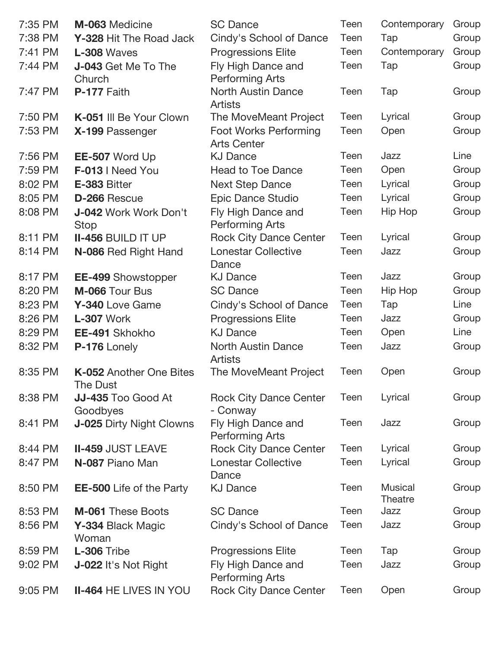| 7:35 PM | M-063 Medicine                              | <b>SC Dance</b>                                    | Teen | Contemporary              | Group |
|---------|---------------------------------------------|----------------------------------------------------|------|---------------------------|-------|
| 7:38 PM | Y-328 Hit The Road Jack                     | Cindy's School of Dance                            | Teen | Tap                       | Group |
| 7:41 PM | L-308 Waves                                 | <b>Progressions Elite</b>                          | Teen | Contemporary              | Group |
| 7:44 PM | J-043 Get Me To The                         | Fly High Dance and                                 | Teen | Tap                       | Group |
|         | Church                                      | <b>Performing Arts</b>                             |      |                           |       |
| 7:47 PM | P-177 Faith                                 | <b>North Austin Dance</b>                          | Teen | Tap                       | Group |
|         |                                             | <b>Artists</b>                                     |      |                           |       |
| 7:50 PM | K-051 III Be Your Clown                     | The MoveMeant Project                              | Teen | Lyrical                   | Group |
| 7:53 PM | X-199 Passenger                             | <b>Foot Works Performing</b><br><b>Arts Center</b> | Teen | Open                      | Group |
| 7:56 PM | EE-507 Word Up                              | <b>KJ Dance</b>                                    | Teen | Jazz                      | Line  |
| 7:59 PM | F-013   Need You                            | <b>Head to Toe Dance</b>                           | Teen | Open                      | Group |
| 8:02 PM | E-383 Bitter                                | <b>Next Step Dance</b>                             | Teen | Lyrical                   | Group |
| 8:05 PM | D-266 Rescue                                | Epic Dance Studio                                  | Teen | Lyrical                   | Group |
| 8:08 PM | <b>J-042 Work Work Don't</b><br><b>Stop</b> | Fly High Dance and<br><b>Performing Arts</b>       | Teen | Hip Hop                   | Group |
| 8:11 PM | <b>II-456 BUILD IT UP</b>                   | <b>Rock City Dance Center</b>                      | Teen | Lyrical                   | Group |
| 8:14 PM | N-086 Red Right Hand                        | <b>Lonestar Collective</b><br>Dance                | Teen | Jazz                      | Group |
| 8:17 PM | <b>EE-499 Showstopper</b>                   | <b>KJ Dance</b>                                    | Teen | Jazz                      | Group |
| 8:20 PM | M-066 Tour Bus                              | <b>SC Dance</b>                                    | Teen | Hip Hop                   | Group |
| 8:23 PM | Y-340 Love Game                             | Cindy's School of Dance                            | Teen | Tap                       | Line  |
| 8:26 PM | L-307 Work                                  | <b>Progressions Elite</b>                          | Teen | Jazz                      | Group |
| 8:29 PM | EE-491 Skhokho                              | <b>KJ Dance</b>                                    | Teen | Open                      | Line  |
| 8:32 PM | P-176 Lonely                                | <b>North Austin Dance</b><br><b>Artists</b>        | Teen | Jazz                      | Group |
| 8:35 PM | K-052 Another One Bites<br>The Dust         | The MoveMeant Project                              | Teen | Open                      | Group |
| 8:38 PM | JJ-435 Too Good At<br>Goodbyes              | <b>Rock City Dance Center</b><br>- Conway          | Teen | Lyrical                   | Group |
| 8:41 PM | <b>J-025 Dirty Night Clowns</b>             | Fly High Dance and<br><b>Performing Arts</b>       | Teen | Jazz                      | Group |
| 8:44 PM | <b>II-459 JUST LEAVE</b>                    | <b>Rock City Dance Center</b>                      | Teen | Lyrical                   | Group |
| 8:47 PM | N-087 Piano Man                             | <b>Lonestar Collective</b><br>Dance                | Teen | Lyrical                   | Group |
| 8:50 PM | <b>EE-500</b> Life of the Party             | <b>KJ Dance</b>                                    | Teen | <b>Musical</b><br>Theatre | Group |
| 8:53 PM | <b>M-061 These Boots</b>                    | <b>SC Dance</b>                                    | Teen | Jazz                      | Group |
| 8:56 PM | Y-334 Black Magic<br>Woman                  | Cindy's School of Dance                            | Teen | Jazz                      | Group |
| 8:59 PM | L-306 Tribe                                 | <b>Progressions Elite</b>                          | Teen | Tap                       | Group |
| 9:02 PM | J-022 It's Not Right                        | Fly High Dance and<br><b>Performing Arts</b>       | Teen | Jazz                      | Group |
| 9:05 PM | <b>II-464 HE LIVES IN YOU</b>               | <b>Rock City Dance Center</b>                      | Teen | Open                      | Group |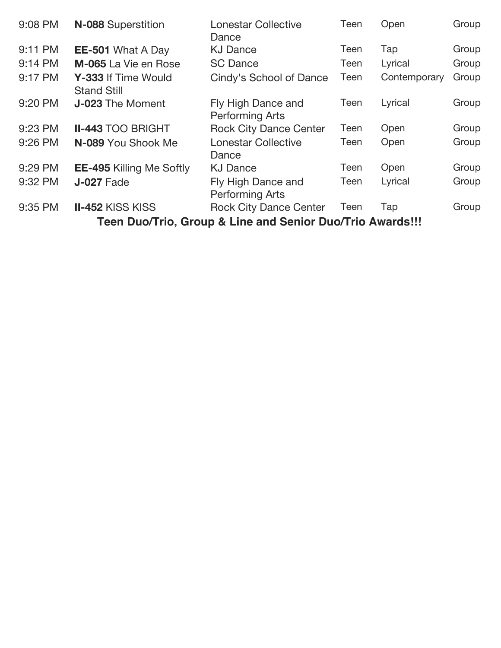| 9:08 PM                                                   | N-088 Superstition                        | <b>Lonestar Collective</b><br>Dance          | Teen | Open         | Group |  |  |
|-----------------------------------------------------------|-------------------------------------------|----------------------------------------------|------|--------------|-------|--|--|
| 9:11 PM                                                   | <b>EE-501</b> What A Day                  | <b>KJ Dance</b>                              | Teen | Tap          | Group |  |  |
| 9:14 PM                                                   | M-065 La Vie en Rose                      | <b>SC Dance</b>                              | Teen | Lyrical      | Group |  |  |
| 9:17 PM                                                   | Y-333 If Time Would<br><b>Stand Still</b> | Cindy's School of Dance                      | Teen | Contemporary | Group |  |  |
| 9:20 PM                                                   | <b>J-023</b> The Moment                   | Fly High Dance and<br><b>Performing Arts</b> | Teen | Lyrical      | Group |  |  |
| 9:23 PM                                                   | <b>II-443 TOO BRIGHT</b>                  | <b>Rock City Dance Center</b>                | Teen | Open         | Group |  |  |
| 9:26 PM                                                   | N-089 You Shook Me                        | <b>Lonestar Collective</b><br>Dance          | Teen | Open         | Group |  |  |
| 9:29 PM                                                   | <b>EE-495 Killing Me Softly</b>           | <b>KJ Dance</b>                              | Teen | Open         | Group |  |  |
| 9:32 PM                                                   | <b>J-027 Fade</b>                         | Fly High Dance and<br><b>Performing Arts</b> | Teen | Lyrical      | Group |  |  |
| 9:35 PM                                                   | <b>II-452 KISS KISS</b>                   | <b>Rock City Dance Center</b>                | Teen | Tap          | Group |  |  |
| Teen Duo/Trio, Group & Line and Senior Duo/Trio Awards!!! |                                           |                                              |      |              |       |  |  |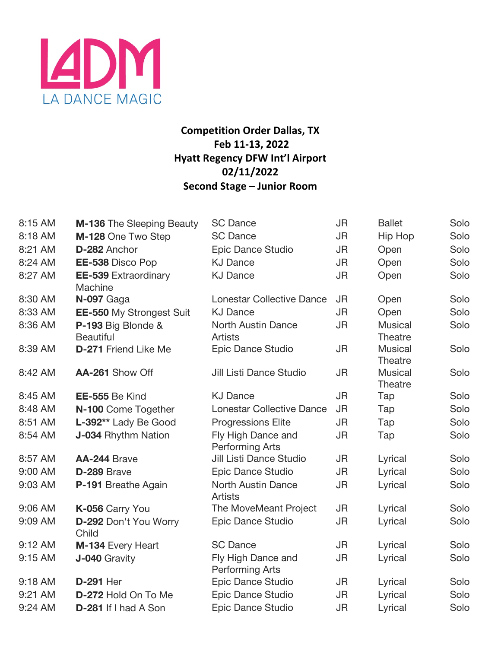

# **Competition Order Dallas, TX Feb 11-13, 2022 Hyatt Regency DFW Int'l Airport 02/11/2022 Second Stage – Junior Room**

| 8:15 AM | <b>M-136</b> The Sleeping Beauty       | <b>SC Dance</b>                              | JR        | <b>Ballet</b>             | Solo |
|---------|----------------------------------------|----------------------------------------------|-----------|---------------------------|------|
| 8:18 AM | M-128 One Two Step                     | <b>SC Dance</b>                              | <b>JR</b> | Hip Hop                   | Solo |
| 8:21 AM | D-282 Anchor                           | Epic Dance Studio                            | <b>JR</b> | Open                      | Solo |
| 8:24 AM | EE-538 Disco Pop                       | <b>KJ Dance</b>                              | <b>JR</b> | Open                      | Solo |
| 8:27 AM | <b>EE-539 Extraordinary</b><br>Machine | <b>KJ Dance</b>                              | <b>JR</b> | Open                      | Solo |
| 8:30 AM | N-097 Gaga                             | <b>Lonestar Collective Dance</b>             | <b>JR</b> | Open                      | Solo |
| 8:33 AM | <b>EE-550 My Strongest Suit</b>        | <b>KJ Dance</b>                              | <b>JR</b> | Open                      | Solo |
| 8:36 AM | P-193 Big Blonde &<br><b>Beautiful</b> | <b>North Austin Dance</b><br><b>Artists</b>  | <b>JR</b> | <b>Musical</b><br>Theatre | Solo |
| 8:39 AM | <b>D-271 Friend Like Me</b>            | Epic Dance Studio                            | <b>JR</b> | <b>Musical</b><br>Theatre | Solo |
| 8:42 AM | AA-261 Show Off                        | Jill Listi Dance Studio                      | JR        | <b>Musical</b><br>Theatre | Solo |
| 8:45 AM | EE-555 Be Kind                         | <b>KJ Dance</b>                              | JR        | Tap                       | Solo |
| 8:48 AM | N-100 Come Together                    | <b>Lonestar Collective Dance</b>             | <b>JR</b> | Tap                       | Solo |
| 8:51 AM | L-392** Lady Be Good                   | <b>Progressions Elite</b>                    | <b>JR</b> | Tap                       | Solo |
| 8:54 AM | J-034 Rhythm Nation                    | Fly High Dance and<br><b>Performing Arts</b> | <b>JR</b> | Tap                       | Solo |
| 8:57 AM | <b>AA-244 Brave</b>                    | <b>Jill Listi Dance Studio</b>               | <b>JR</b> | Lyrical                   | Solo |
| 9:00 AM | D-289 Brave                            | Epic Dance Studio                            | <b>JR</b> | Lyrical                   | Solo |
| 9:03 AM | P-191 Breathe Again                    | <b>North Austin Dance</b><br><b>Artists</b>  | <b>JR</b> | Lyrical                   | Solo |
| 9:06 AM | K-056 Carry You                        | The MoveMeant Project                        | JR        | Lyrical                   | Solo |
| 9:09 AM | D-292 Don't You Worry<br>Child         | Epic Dance Studio                            | <b>JR</b> | Lyrical                   | Solo |
| 9:12 AM | M-134 Every Heart                      | <b>SC Dance</b>                              | <b>JR</b> | Lyrical                   | Solo |
| 9:15 AM | J-040 Gravity                          | Fly High Dance and<br>Performing Arts        | <b>JR</b> | Lyrical                   | Solo |
| 9:18 AM | <b>D-291 Her</b>                       | Epic Dance Studio                            | JR        | Lyrical                   | Solo |
| 9:21 AM | D-272 Hold On To Me                    | Epic Dance Studio                            | <b>JR</b> | Lyrical                   | Solo |
| 9:24 AM | D-281 If I had A Son                   | Epic Dance Studio                            | <b>JR</b> | Lyrical                   | Solo |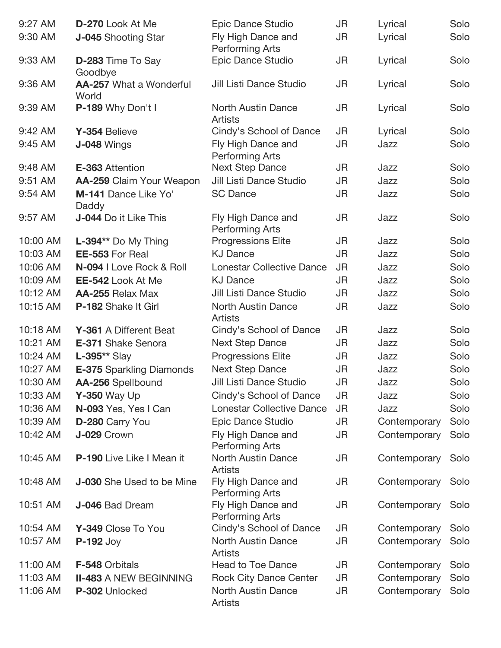| 9:27 AM  | D-270 Look At Me                        | Epic Dance Studio                            | JR        | Lyrical      | Solo |
|----------|-----------------------------------------|----------------------------------------------|-----------|--------------|------|
| 9:30 AM  | <b>J-045</b> Shooting Star              | Fly High Dance and<br><b>Performing Arts</b> | JR        | Lyrical      | Solo |
| 9:33 AM  | D-283 Time To Say<br>Goodbye            | Epic Dance Studio                            | JR        | Lyrical      | Solo |
| 9:36 AM  | <b>AA-257</b> What a Wonderful<br>World | Jill Listi Dance Studio                      | JR        | Lyrical      | Solo |
| 9:39 AM  | P-189 Why Don't I                       | <b>North Austin Dance</b><br><b>Artists</b>  | JR        | Lyrical      | Solo |
| 9:42 AM  | Y-354 Believe                           | Cindy's School of Dance                      | JR        | Lyrical      | Solo |
| 9:45 AM  | <b>J-048 Wings</b>                      | Fly High Dance and<br><b>Performing Arts</b> | JR        | Jazz         | Solo |
| 9:48 AM  | <b>E-363 Attention</b>                  | <b>Next Step Dance</b>                       | JR        | Jazz         | Solo |
| 9:51 AM  | AA-259 Claim Your Weapon                | Jill Listi Dance Studio                      | JR        | Jazz         | Solo |
| 9:54 AM  | M-141 Dance Like Yo'<br>Daddy           | <b>SC Dance</b>                              | JR        | Jazz         | Solo |
| 9:57 AM  | J-044 Do it Like This                   | Fly High Dance and<br><b>Performing Arts</b> | JR        | Jazz         | Solo |
| 10:00 AM | L-394** Do My Thing                     | <b>Progressions Elite</b>                    | JR        | Jazz         | Solo |
| 10:03 AM | EE-553 For Real                         | <b>KJ Dance</b>                              | <b>JR</b> | Jazz         | Solo |
| 10:06 AM | N-094   Love Rock & Roll                | <b>Lonestar Collective Dance</b>             | JR        | Jazz         | Solo |
| 10:09 AM | <b>EE-542 Look At Me</b>                | <b>KJ Dance</b>                              | JR        | Jazz         | Solo |
| 10:12 AM | AA-255 Relax Max                        | Jill Listi Dance Studio                      | JR        | Jazz         | Solo |
| 10:15 AM | P-182 Shake It Girl                     | <b>North Austin Dance</b><br><b>Artists</b>  | JR        | Jazz         | Solo |
| 10:18 AM | Y-361 A Different Beat                  | Cindy's School of Dance                      | JR        | Jazz         | Solo |
| 10:21 AM | E-371 Shake Senora                      | <b>Next Step Dance</b>                       | JR        | Jazz         | Solo |
| 10:24 AM | L-395** Slay                            | <b>Progressions Elite</b>                    | JR        | Jazz         | Solo |
| 10:27 AM | <b>E-375 Sparkling Diamonds</b>         | <b>Next Step Dance</b>                       | JR        | Jazz         | Solo |
| 10:30 AM | AA-256 Spellbound                       | Jill Listi Dance Studio                      | JR        | Jazz         | Solo |
| 10:33 AM | <b>Y-350 Way Up</b>                     | Cindy's School of Dance                      | JR        | Jazz         | Solo |
| 10:36 AM | N-093 Yes, Yes I Can                    | <b>Lonestar Collective Dance</b>             | JR        | Jazz         | Solo |
| 10:39 AM | D-280 Carry You                         | Epic Dance Studio                            | JR        | Contemporary | Solo |
| 10:42 AM | J-029 Crown                             | Fly High Dance and<br><b>Performing Arts</b> | JR        | Contemporary | Solo |
| 10:45 AM | P-190 Live Like I Mean it               | <b>North Austin Dance</b><br><b>Artists</b>  | <b>JR</b> | Contemporary | Solo |
| 10:48 AM | J-030 She Used to be Mine               | Fly High Dance and<br><b>Performing Arts</b> | JR        | Contemporary | Solo |
| 10:51 AM | J-046 Bad Dream                         | Fly High Dance and<br>Performing Arts        | JR        | Contemporary | Solo |
| 10:54 AM | Y-349 Close To You                      | Cindy's School of Dance                      | JR        | Contemporary | Solo |
| 10:57 AM | <b>P-192 Joy</b>                        | <b>North Austin Dance</b><br><b>Artists</b>  | JR        | Contemporary | Solo |
| 11:00 AM | F-548 Orbitals                          | <b>Head to Toe Dance</b>                     | JR        | Contemporary | Solo |
| 11:03 AM | <b>II-483 A NEW BEGINNING</b>           | <b>Rock City Dance Center</b>                | JR        | Contemporary | Solo |
| 11:06 AM | P-302 Unlocked                          | <b>North Austin Dance</b><br><b>Artists</b>  | JR        | Contemporary | Solo |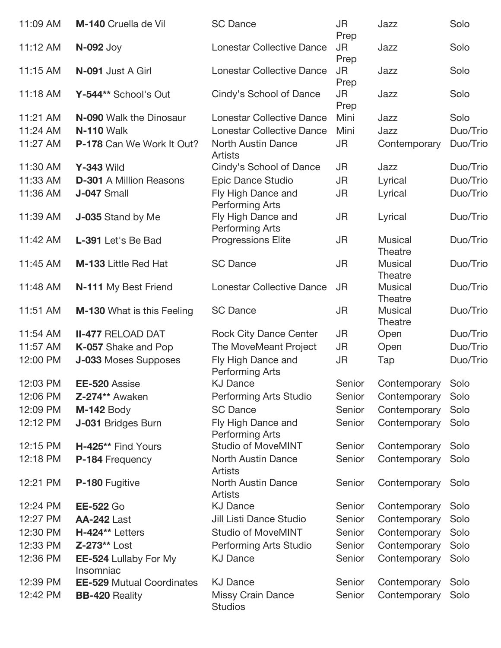| 11:09 AM | M-140 Cruella de Vil                      | <b>SC Dance</b>                              | JR<br>Prep        | Jazz                      | Solo     |
|----------|-------------------------------------------|----------------------------------------------|-------------------|---------------------------|----------|
| 11:12 AM | <b>N-092 Joy</b>                          | <b>Lonestar Collective Dance</b>             | <b>JR</b><br>Prep | Jazz                      | Solo     |
| 11:15 AM | N-091 Just A Girl                         | <b>Lonestar Collective Dance</b>             | JR<br>Prep        | Jazz                      | Solo     |
| 11:18 AM | Y-544** School's Out                      | Cindy's School of Dance                      | JR<br>Prep        | Jazz                      | Solo     |
| 11:21 AM | N-090 Walk the Dinosaur                   | <b>Lonestar Collective Dance</b>             | Mini              | Jazz                      | Solo     |
| 11:24 AM | <b>N-110 Walk</b>                         | <b>Lonestar Collective Dance</b>             | Mini              | Jazz                      | Duo/Trio |
| 11:27 AM | P-178 Can We Work It Out?                 | <b>North Austin Dance</b><br><b>Artists</b>  | JR                | Contemporary              | Duo/Trio |
| 11:30 AM | <b>Y-343 Wild</b>                         | Cindy's School of Dance                      | JR                | Jazz                      | Duo/Trio |
| 11:33 AM | <b>D-301</b> A Million Reasons            | Epic Dance Studio                            | <b>JR</b>         | Lyrical                   | Duo/Trio |
| 11:36 AM | <b>J-047</b> Small                        | Fly High Dance and<br><b>Performing Arts</b> | JR                | Lyrical                   | Duo/Trio |
| 11:39 AM | J-035 Stand by Me                         | Fly High Dance and<br><b>Performing Arts</b> | <b>JR</b>         | Lyrical                   | Duo/Trio |
| 11:42 AM | L-391 Let's Be Bad                        | Progressions Elite                           | JR                | <b>Musical</b><br>Theatre | Duo/Trio |
| 11:45 AM | <b>M-133 Little Red Hat</b>               | <b>SC Dance</b>                              | JR                | <b>Musical</b><br>Theatre | Duo/Trio |
| 11:48 AM | N-111 My Best Friend                      | <b>Lonestar Collective Dance</b>             | <b>JR</b>         | <b>Musical</b><br>Theatre | Duo/Trio |
| 11:51 AM | <b>M-130</b> What is this Feeling         | <b>SC Dance</b>                              | JR                | <b>Musical</b><br>Theatre | Duo/Trio |
| 11:54 AM | <b>II-477 RELOAD DAT</b>                  | <b>Rock City Dance Center</b>                | <b>JR</b>         | Open                      | Duo/Trio |
| 11:57 AM | K-057 Shake and Pop                       | The MoveMeant Project                        | JR                | Open                      | Duo/Trio |
| 12:00 PM | J-033 Moses Supposes                      | Fly High Dance and<br><b>Performing Arts</b> | JR                | Tap                       | Duo/Trio |
| 12:03 PM | EE-520 Assise                             | <b>KJ Dance</b>                              | Senior            | Contemporary Solo         |          |
| 12:06 PM | Z-274** Awaken                            | Performing Arts Studio                       | Senior            | Contemporary              | Solo     |
| 12:09 PM | <b>M-142 Body</b>                         | <b>SC Dance</b>                              | Senior            | Contemporary              | Solo     |
| 12:12 PM | J-031 Bridges Burn                        | Fly High Dance and<br><b>Performing Arts</b> | Senior            | Contemporary              | Solo     |
| 12:15 PM | H-425** Find Yours                        | <b>Studio of MoveMINT</b>                    | Senior            | Contemporary              | Solo     |
| 12:18 PM | P-184 Frequency                           | <b>North Austin Dance</b><br><b>Artists</b>  | Senior            | Contemporary              | Solo     |
| 12:21 PM | P-180 Fugitive                            | <b>North Austin Dance</b><br><b>Artists</b>  | Senior            | Contemporary              | Solo     |
| 12:24 PM | <b>EE-522 Go</b>                          | <b>KJ Dance</b>                              | Senior            | Contemporary              | Solo     |
| 12:27 PM | <b>AA-242 Last</b>                        | Jill Listi Dance Studio                      | Senior            | Contemporary              | Solo     |
| 12:30 PM | H-424** Letters                           | <b>Studio of MoveMINT</b>                    | Senior            | Contemporary              | Solo     |
| 12:33 PM | Z-273** Lost                              | Performing Arts Studio                       | Senior            | Contemporary              | Solo     |
| 12:36 PM | <b>EE-524 Lullaby For My</b><br>Insomniac | <b>KJ Dance</b>                              | Senior            | Contemporary              | Solo     |
| 12:39 PM | <b>EE-529 Mutual Coordinates</b>          | <b>KJ Dance</b>                              | Senior            | Contemporary              | Solo     |
| 12:42 PM | <b>BB-420 Reality</b>                     | <b>Missy Crain Dance</b><br><b>Studios</b>   | Senior            | Contemporary              | Solo     |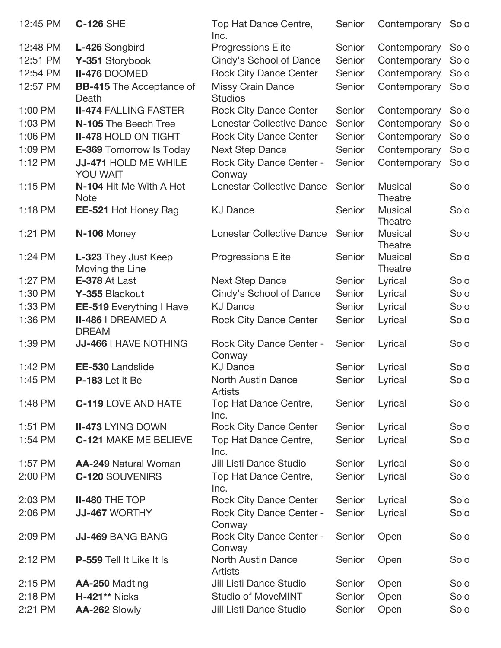| 12:45 PM | <b>C-126 SHE</b>                          | Top Hat Dance Centre,<br>Inc.               | Senior | Contemporary              | Solo |
|----------|-------------------------------------------|---------------------------------------------|--------|---------------------------|------|
| 12:48 PM | L-426 Songbird                            | <b>Progressions Elite</b>                   | Senior | Contemporary              | Solo |
| 12:51 PM | Y-351 Storybook                           | Cindy's School of Dance                     | Senior | Contemporary              | Solo |
| 12:54 PM | II-476 DOOMED                             | <b>Rock City Dance Center</b>               | Senior | Contemporary              | Solo |
| 12:57 PM | <b>BB-415</b> The Acceptance of<br>Death  | Missy Crain Dance<br><b>Studios</b>         | Senior | Contemporary              | Solo |
| 1:00 PM  | <b>II-474 FALLING FASTER</b>              | <b>Rock City Dance Center</b>               | Senior | Contemporary              | Solo |
| 1:03 PM  | N-105 The Beech Tree                      | <b>Lonestar Collective Dance</b>            | Senior | Contemporary              | Solo |
| 1:06 PM  | <b>II-478 HOLD ON TIGHT</b>               | <b>Rock City Dance Center</b>               | Senior | Contemporary              | Solo |
| 1:09 PM  | <b>E-369 Tomorrow Is Today</b>            | <b>Next Step Dance</b>                      | Senior | Contemporary              | Solo |
| 1:12 PM  | JJ-471 HOLD ME WHILE<br>YOU WAIT          | <b>Rock City Dance Center -</b><br>Conway   | Senior | Contemporary              | Solo |
| 1:15 PM  | N-104 Hit Me With A Hot<br><b>Note</b>    | <b>Lonestar Collective Dance</b>            | Senior | <b>Musical</b><br>Theatre | Solo |
| 1:18 PM  | EE-521 Hot Honey Rag                      | <b>KJ Dance</b>                             | Senior | <b>Musical</b><br>Theatre | Solo |
| 1:21 PM  | N-106 Money                               | <b>Lonestar Collective Dance</b>            | Senior | <b>Musical</b><br>Theatre | Solo |
| 1:24 PM  | L-323 They Just Keep<br>Moving the Line   | <b>Progressions Elite</b>                   | Senior | <b>Musical</b><br>Theatre | Solo |
| 1:27 PM  | E-378 At Last                             | <b>Next Step Dance</b>                      | Senior | Lyrical                   | Solo |
| 1:30 PM  | Y-355 Blackout                            | Cindy's School of Dance                     | Senior | Lyrical                   | Solo |
| 1:33 PM  | <b>EE-519</b> Everything I Have           | <b>KJ Dance</b>                             | Senior | Lyrical                   | Solo |
| 1:36 PM  | <b>II-486   DREAMED A</b><br><b>DREAM</b> | <b>Rock City Dance Center</b>               | Senior | Lyrical                   | Solo |
| 1:39 PM  | JJ-466   HAVE NOTHING                     | <b>Rock City Dance Center -</b><br>Conway   | Senior | Lyrical                   | Solo |
| 1:42 PM  | EE-530 Landslide                          | <b>KJ Dance</b>                             | Senior | Lyrical                   | Solo |
| 1:45 PM  | <b>P-183</b> Let it Be                    | <b>North Austin Dance</b><br><b>Artists</b> | Senior | Lyrical                   | Solo |
| 1:48 PM  | <b>C-119 LOVE AND HATE</b>                | Top Hat Dance Centre,<br>Inc.               | Senior | Lyrical                   | Solo |
| 1:51 PM  | <b>II-473 LYING DOWN</b>                  | <b>Rock City Dance Center</b>               | Senior | Lyrical                   | Solo |
| 1:54 PM  | <b>C-121 MAKE ME BELIEVE</b>              | Top Hat Dance Centre,<br>Inc.               | Senior | Lyrical                   | Solo |
| 1:57 PM  | <b>AA-249 Natural Woman</b>               | Jill Listi Dance Studio                     | Senior | Lyrical                   | Solo |
| 2:00 PM  | <b>C-120 SOUVENIRS</b>                    | Top Hat Dance Centre,<br>Inc.               | Senior | Lyrical                   | Solo |
| 2:03 PM  | <b>II-480 THE TOP</b>                     | <b>Rock City Dance Center</b>               | Senior | Lyrical                   | Solo |
| 2:06 PM  | <b>JJ-467 WORTHY</b>                      | <b>Rock City Dance Center -</b><br>Conway   | Senior | Lyrical                   | Solo |
| 2:09 PM  | <b>JJ-469 BANG BANG</b>                   | <b>Rock City Dance Center -</b><br>Conway   | Senior | Open                      | Solo |
| 2:12 PM  | P-559 Tell It Like It Is                  | <b>North Austin Dance</b><br><b>Artists</b> | Senior | Open                      | Solo |
| 2:15 PM  | AA-250 Madting                            | Jill Listi Dance Studio                     | Senior | Open                      | Solo |
| 2:18 PM  | <b>H-421** Nicks</b>                      | <b>Studio of MoveMINT</b>                   | Senior | Open                      | Solo |
| 2:21 PM  | AA-262 Slowly                             | Jill Listi Dance Studio                     | Senior | Open                      | Solo |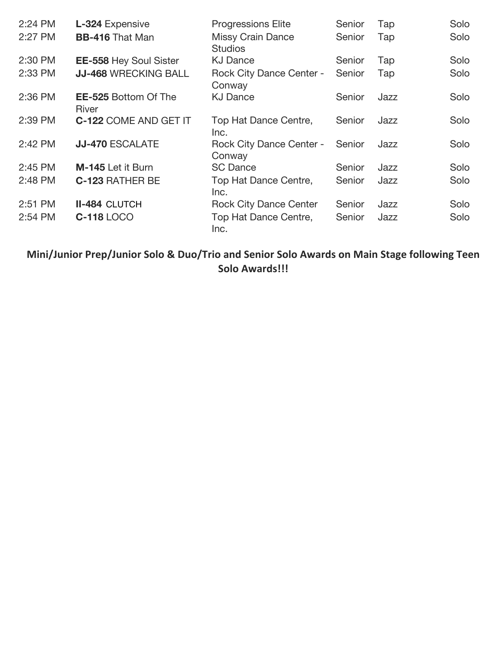| 2:24 PM | L-324 Expensive                      | <b>Progressions Elite</b>                  | Senior | Tap  | Solo |
|---------|--------------------------------------|--------------------------------------------|--------|------|------|
| 2:27 PM | <b>BB-416 That Man</b>               | <b>Missy Crain Dance</b><br><b>Studios</b> | Senior | Tap  | Solo |
| 2:30 PM | <b>EE-558 Hey Soul Sister</b>        | <b>KJ Dance</b>                            | Senior | Tap  | Solo |
| 2:33 PM | <b>JJ-468 WRECKING BALL</b>          | <b>Rock City Dance Center -</b><br>Conway  | Senior | Tap  | Solo |
| 2:36 PM | <b>EE-525 Bottom Of The</b><br>River | <b>KJ Dance</b>                            | Senior | Jazz | Solo |
| 2:39 PM | <b>C-122 COME AND GET IT</b>         | Top Hat Dance Centre,<br>Inc.              | Senior | Jazz | Solo |
| 2:42 PM | <b>JJ-470 ESCALATE</b>               | <b>Rock City Dance Center -</b><br>Conway  | Senior | Jazz | Solo |
| 2:45 PM | M-145 Let it Burn                    | <b>SC Dance</b>                            | Senior | Jazz | Solo |
| 2:48 PM | <b>C-123 RATHER BE</b>               | Top Hat Dance Centre,<br>Inc.              | Senior | Jazz | Solo |
| 2:51 PM | <b>II-484 CLUTCH</b>                 | <b>Rock City Dance Center</b>              | Senior | Jazz | Solo |
| 2:54 PM | <b>C-118 LOCO</b>                    | Top Hat Dance Centre,<br>Inc.              | Senior | Jazz | Solo |

**Mini/Junior Prep/Junior Solo & Duo/Trio and Senior Solo Awards on Main Stage following Teen Solo Awards!!!**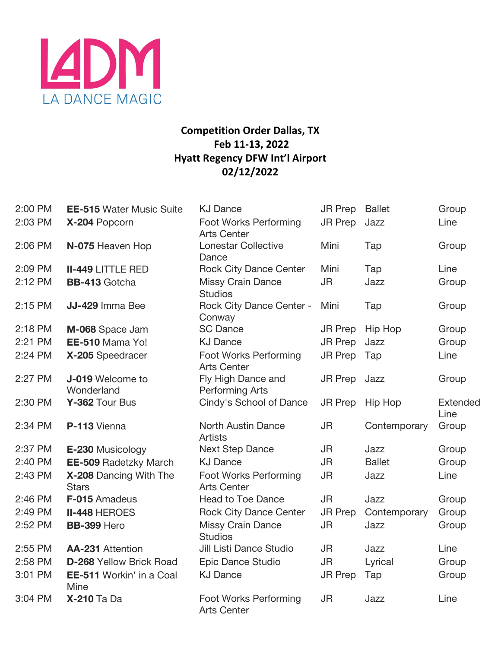

# **Competition Order Dallas, TX Feb 11-13, 2022 Hyatt Regency DFW Int'l Airport 02/12/2022**

| 2:00 PM | <b>EE-515 Water Music Suite</b>        | <b>KJ Dance</b>                              | <b>JR Prep</b> | <b>Ballet</b>  | Group                   |
|---------|----------------------------------------|----------------------------------------------|----------------|----------------|-------------------------|
| 2:03 PM | X-204 Popcorn                          | Foot Works Performing<br><b>Arts Center</b>  | <b>JR Prep</b> | Jazz           | Line                    |
| 2:06 PM | N-075 Heaven Hop                       | <b>Lonestar Collective</b><br>Dance          | Mini           | Tap            | Group                   |
| 2:09 PM | <b>II-449 LITTLE RED</b>               | <b>Rock City Dance Center</b>                | Mini           | Tap            | Line                    |
| 2:12 PM | <b>BB-413</b> Gotcha                   | <b>Missy Crain Dance</b><br><b>Studios</b>   | <b>JR</b>      | Jazz           | Group                   |
| 2:15 PM | JJ-429 Imma Bee                        | <b>Rock City Dance Center -</b><br>Conway    | Mini           | Tap            | Group                   |
| 2:18 PM | M-068 Space Jam                        | <b>SC Dance</b>                              | <b>JR Prep</b> | <b>Hip Hop</b> | Group                   |
| 2:21 PM | EE-510 Mama Yo!                        | <b>KJ Dance</b>                              | <b>JR Prep</b> | Jazz           | Group                   |
| 2:24 PM | X-205 Speedracer                       | Foot Works Performing<br><b>Arts Center</b>  | <b>JR Prep</b> | Tap            | Line                    |
| 2:27 PM | J-019 Welcome to<br>Wonderland         | Fly High Dance and<br><b>Performing Arts</b> | <b>JR Prep</b> | Jazz           | Group                   |
| 2:30 PM | Y-362 Tour Bus                         | Cindy's School of Dance                      | <b>JR Prep</b> | <b>Hip Hop</b> | <b>Extended</b><br>Line |
| 2:34 PM | P-113 Vienna                           | <b>North Austin Dance</b><br><b>Artists</b>  | <b>JR</b>      | Contemporary   | Group                   |
| 2:37 PM | E-230 Musicology                       | <b>Next Step Dance</b>                       | <b>JR</b>      | Jazz           | Group                   |
| 2:40 PM | <b>EE-509 Radetzky March</b>           | <b>KJ Dance</b>                              | <b>JR</b>      | <b>Ballet</b>  | Group                   |
| 2:43 PM | X-208 Dancing With The<br><b>Stars</b> | Foot Works Performing<br><b>Arts Center</b>  | <b>JR</b>      | Jazz           | Line                    |
| 2:46 PM | F-015 Amadeus                          | <b>Head to Toe Dance</b>                     | <b>JR</b>      | Jazz           | Group                   |
| 2:49 PM | <b>II-448 HEROES</b>                   | <b>Rock City Dance Center</b>                | JR Prep        | Contemporary   | Group                   |
| 2:52 PM | BB-399 Hero                            | <b>Missy Crain Dance</b><br><b>Studios</b>   | <b>JR</b>      | Jazz           | Group                   |
| 2:55 PM | <b>AA-231</b> Attention                | Jill Listi Dance Studio                      | <b>JR</b>      | Jazz           | Line                    |
| 2:58 PM | <b>D-268 Yellow Brick Road</b>         | Epic Dance Studio                            | <b>JR</b>      | Lyrical        | Group                   |
| 3:01 PM | EE-511 Workin' in a Coal<br>Mine       | <b>KJ Dance</b>                              | <b>JR Prep</b> | Tap            | Group                   |
| 3:04 PM | <b>X-210 Ta Da</b>                     | Foot Works Performing<br><b>Arts Center</b>  | <b>JR</b>      | Jazz           | Line                    |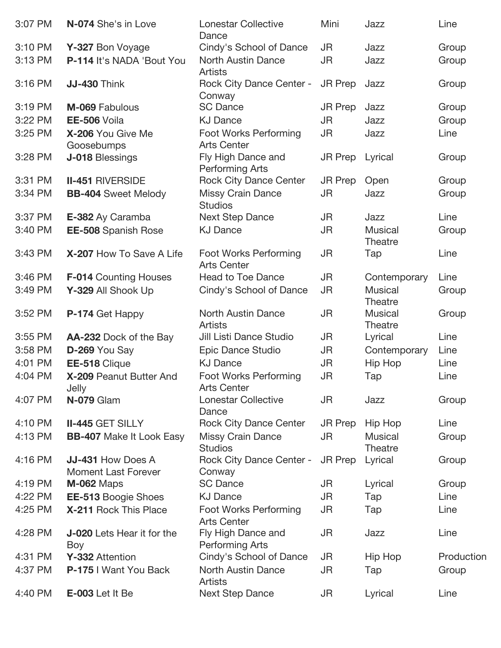| 3:07 PM | N-074 She's in Love                             | <b>Lonestar Collective</b><br>Dance          | Mini           | Jazz                             | Line       |
|---------|-------------------------------------------------|----------------------------------------------|----------------|----------------------------------|------------|
| 3:10 PM | Y-327 Bon Voyage                                | Cindy's School of Dance                      | JR.            | Jazz                             | Group      |
| 3:13 PM | P-114 It's NADA 'Bout You                       | <b>North Austin Dance</b><br><b>Artists</b>  | <b>JR</b>      | Jazz                             | Group      |
| 3:16 PM | <b>JJ-430 Think</b>                             | <b>Rock City Dance Center -</b><br>Conway    | <b>JR Prep</b> | Jazz                             | Group      |
| 3:19 PM | M-069 Fabulous                                  | <b>SC Dance</b>                              | <b>JR Prep</b> | Jazz                             | Group      |
| 3:22 PM | EE-506 Voila                                    | <b>KJ Dance</b>                              | JR             | Jazz                             | Group      |
| 3:25 PM | X-206 You Give Me<br>Goosebumps                 | Foot Works Performing<br><b>Arts Center</b>  | JR             | Jazz                             | Line       |
| 3:28 PM | J-018 Blessings                                 | Fly High Dance and<br><b>Performing Arts</b> | <b>JR Prep</b> | Lyrical                          | Group      |
| 3:31 PM | <b>II-451 RIVERSIDE</b>                         | <b>Rock City Dance Center</b>                | <b>JR Prep</b> | Open                             | Group      |
| 3:34 PM | <b>BB-404</b> Sweet Melody                      | <b>Missy Crain Dance</b><br><b>Studios</b>   | <b>JR</b>      | Jazz                             | Group      |
| 3:37 PM | E-382 Ay Caramba                                | <b>Next Step Dance</b>                       | <b>JR</b>      | Jazz                             | Line       |
| 3:40 PM | <b>EE-508</b> Spanish Rose                      | <b>KJ Dance</b>                              | <b>JR</b>      | <b>Musical</b><br>Theatre        | Group      |
| 3:43 PM | X-207 How To Save A Life                        | Foot Works Performing<br><b>Arts Center</b>  | <b>JR</b>      | Tap                              | Line       |
| 3:46 PM | <b>F-014 Counting Houses</b>                    | <b>Head to Toe Dance</b>                     | JR             | Contemporary                     | Line       |
| 3:49 PM | Y-329 All Shook Up                              | Cindy's School of Dance                      | <b>JR</b>      | <b>Musical</b><br><b>Theatre</b> | Group      |
| 3:52 PM | P-174 Get Happy                                 | <b>North Austin Dance</b><br><b>Artists</b>  | <b>JR</b>      | <b>Musical</b><br>Theatre        | Group      |
| 3:55 PM | AA-232 Dock of the Bay                          | Jill Listi Dance Studio                      | JR             | Lyrical                          | Line       |
| 3:58 PM | D-269 You Say                                   | Epic Dance Studio                            | JR             | Contemporary                     | Line       |
| 4:01 PM | EE-518 Clique                                   | <b>KJ Dance</b>                              | <b>JR</b>      | Hip Hop                          | Line       |
| 4:04 PM | X-209 Peanut Butter And<br>Jelly                | Foot Works Performing<br><b>Arts Center</b>  | JR             | Tap                              | Line       |
| 4:07 PM | N-079 Glam                                      | <b>Lonestar Collective</b><br>Dance          | JR             | Jazz                             | Group      |
| 4:10 PM | <b>II-445 GET SILLY</b>                         | <b>Rock City Dance Center</b>                | <b>JR Prep</b> | Hip Hop                          | Line       |
| 4:13 PM | <b>BB-407</b> Make It Look Easy                 | <b>Missy Crain Dance</b><br><b>Studios</b>   | JR             | <b>Musical</b><br>Theatre        | Group      |
| 4:16 PM | JJ-431 How Does A<br><b>Moment Last Forever</b> | <b>Rock City Dance Center -</b><br>Conway    | <b>JR Prep</b> | Lyrical                          | Group      |
| 4:19 PM | <b>M-062 Maps</b>                               | <b>SC Dance</b>                              | JR             | Lyrical                          | Group      |
| 4:22 PM | <b>EE-513 Boogie Shoes</b>                      | <b>KJ Dance</b>                              | JR             | Tap                              | Line       |
| 4:25 PM | X-211 Rock This Place                           | Foot Works Performing<br><b>Arts Center</b>  | JR             | Tap                              | Line       |
| 4:28 PM | <b>J-020</b> Lets Hear it for the<br>Boy        | Fly High Dance and<br>Performing Arts        | JR             | Jazz                             | Line       |
| 4:31 PM | Y-332 Attention                                 | Cindy's School of Dance                      | JR             | Hip Hop                          | Production |
| 4:37 PM | P-175   Want You Back                           | <b>North Austin Dance</b><br>Artists         | JR             | Tap                              | Group      |
| 4:40 PM | E-003 Let It Be                                 | <b>Next Step Dance</b>                       | JR             | Lyrical                          | Line       |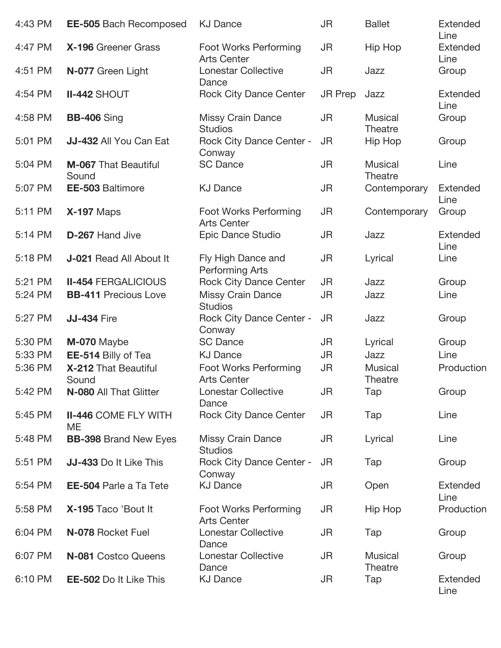| 4:43 PM | <b>EE-505 Bach Recomposed</b>        | <b>KJ Dance</b>                                    | <b>JR</b>      | <b>Ballet</b>                    | <b>Extended</b><br>Line |
|---------|--------------------------------------|----------------------------------------------------|----------------|----------------------------------|-------------------------|
| 4:47 PM | X-196 Greener Grass                  | Foot Works Performing<br><b>Arts Center</b>        | JR             | <b>Hip Hop</b>                   | <b>Extended</b><br>Line |
| 4:51 PM | N-077 Green Light                    | <b>Lonestar Collective</b><br>Dance                | <b>JR</b>      | Jazz                             | Group                   |
| 4:54 PM | <b>II-442 SHOUT</b>                  | <b>Rock City Dance Center</b>                      | <b>JR Prep</b> | Jazz                             | <b>Extended</b><br>Line |
| 4:58 PM | <b>BB-406</b> Sing                   | <b>Missy Crain Dance</b><br><b>Studios</b>         | <b>JR</b>      | <b>Musical</b><br>Theatre        | Group                   |
| 5:01 PM | JJ-432 All You Can Eat               | <b>Rock City Dance Center -</b><br>Conway          | <b>JR</b>      | Hip Hop                          | Group                   |
| 5:04 PM | <b>M-067 That Beautiful</b><br>Sound | <b>SC Dance</b>                                    | <b>JR</b>      | <b>Musical</b><br><b>Theatre</b> | Line                    |
| 5:07 PM | <b>EE-503 Baltimore</b>              | <b>KJ Dance</b>                                    | JR             | Contemporary                     | <b>Extended</b><br>Line |
| 5:11 PM | <b>X-197 Maps</b>                    | <b>Foot Works Performing</b><br><b>Arts Center</b> | JR             | Contemporary                     | Group                   |
| 5:14 PM | D-267 Hand Jive                      | Epic Dance Studio                                  | JR             | Jazz                             | Extended<br>Line        |
| 5:18 PM | <b>J-021 Read All About It</b>       | Fly High Dance and<br><b>Performing Arts</b>       | JR             | Lyrical                          | Line                    |
| 5:21 PM | <b>II-454 FERGALICIOUS</b>           | <b>Rock City Dance Center</b>                      | <b>JR</b>      | Jazz                             | Group                   |
| 5:24 PM | <b>BB-411 Precious Love</b>          | <b>Missy Crain Dance</b><br><b>Studios</b>         | JR             | Jazz                             | Line                    |
| 5:27 PM | <b>JJ-434 Fire</b>                   | <b>Rock City Dance Center -</b><br>Conway          | <b>JR</b>      | Jazz                             | Group                   |
| 5:30 PM | M-070 Maybe                          | <b>SC Dance</b>                                    | <b>JR</b>      | Lyrical                          | Group                   |
| 5:33 PM | EE-514 Billy of Tea                  | <b>KJ Dance</b>                                    | JR             | Jazz                             | Line                    |
| 5:36 PM | X-212 That Beautiful                 | Foot Works Performing                              | <b>JR</b>      | <b>Musical</b>                   | Production              |
|         | Sound                                | <b>Arts Center</b>                                 |                | Theatre                          |                         |
| 5:42 PM | N-080 All That Glitter               | <b>Lonestar Collective</b><br>Dance                | JR             | Tap                              | Group                   |
| 5:45 PM | <b>II-446 COME FLY WITH</b><br>ME    | <b>Rock City Dance Center</b>                      | <b>JR</b>      | Tap                              | Line                    |
| 5:48 PM | <b>BB-398</b> Brand New Eyes         | <b>Missy Crain Dance</b><br><b>Studios</b>         | JR             | Lyrical                          | Line                    |
| 5:51 PM | JJ-433 Do It Like This               | <b>Rock City Dance Center -</b><br>Conway          | JR             | Tap                              | Group                   |
| 5:54 PM | <b>EE-504 Parle a Ta Tete</b>        | <b>KJ Dance</b>                                    | JR             | Open                             | <b>Extended</b><br>Line |
| 5:58 PM | X-195 Taco 'Bout It                  | Foot Works Performing<br><b>Arts Center</b>        | JR             | Hip Hop                          | Production              |
| 6:04 PM | N-078 Rocket Fuel                    | <b>Lonestar Collective</b><br>Dance                | JR             | Tap                              | Group                   |
| 6:07 PM | N-081 Costco Queens                  | <b>Lonestar Collective</b><br>Dance                | JR.            | <b>Musical</b><br><b>Theatre</b> | Group                   |
| 6:10 PM | <b>EE-502 Do It Like This</b>        | <b>KJ Dance</b>                                    | JR             | Tap                              | <b>Extended</b><br>Line |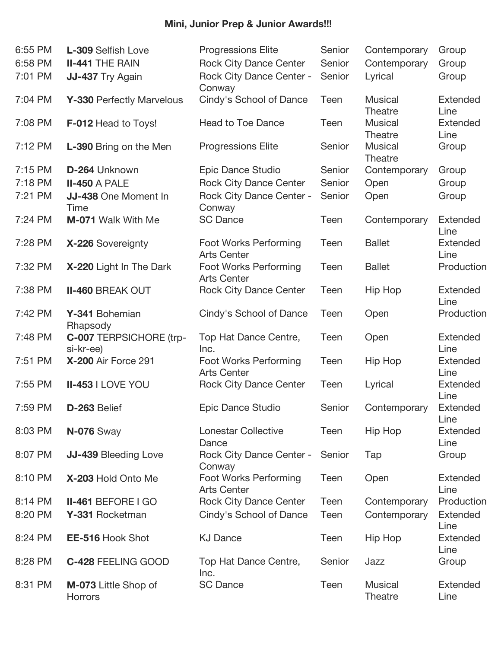# **Mini, Junior Prep & Junior Awards!!!**

| 6:55 PM | L-309 Selfish Love                   | <b>Progressions Elite</b>                   | Senior | Contemporary                     | Group                   |
|---------|--------------------------------------|---------------------------------------------|--------|----------------------------------|-------------------------|
| 6:58 PM | <b>II-441 THE RAIN</b>               | <b>Rock City Dance Center</b>               | Senior | Contemporary                     | Group                   |
| 7:01 PM | JJ-437 Try Again                     | <b>Rock City Dance Center -</b><br>Conway   | Senior | Lyrical                          | Group                   |
| 7:04 PM | Y-330 Perfectly Marvelous            | Cindy's School of Dance                     | Teen   | <b>Musical</b><br><b>Theatre</b> | <b>Extended</b><br>Line |
| 7:08 PM | <b>F-012 Head to Toys!</b>           | <b>Head to Toe Dance</b>                    | Teen   | <b>Musical</b><br>Theatre        | <b>Extended</b><br>Line |
| 7:12 PM | L-390 Bring on the Men               | <b>Progressions Elite</b>                   | Senior | <b>Musical</b><br><b>Theatre</b> | Group                   |
| 7:15 PM | D-264 Unknown                        | Epic Dance Studio                           | Senior | Contemporary                     | Group                   |
| 7:18 PM | <b>II-450 A PALE</b>                 | <b>Rock City Dance Center</b>               | Senior | Open                             | Group                   |
| 7:21 PM | JJ-438 One Moment In<br>Time         | <b>Rock City Dance Center -</b><br>Conway   | Senior | Open                             | Group                   |
| 7:24 PM | M-071 Walk With Me                   | <b>SC Dance</b>                             | Teen   | Contemporary                     | <b>Extended</b><br>Line |
| 7:28 PM | X-226 Sovereignty                    | Foot Works Performing<br><b>Arts Center</b> | Teen   | <b>Ballet</b>                    | <b>Extended</b><br>Line |
| 7:32 PM | X-220 Light In The Dark              | Foot Works Performing<br><b>Arts Center</b> | Teen   | <b>Ballet</b>                    | Production              |
| 7:38 PM | <b>II-460 BREAK OUT</b>              | <b>Rock City Dance Center</b>               | Teen   | <b>Hip Hop</b>                   | <b>Extended</b><br>Line |
| 7:42 PM | Y-341 Bohemian<br>Rhapsody           | Cindy's School of Dance                     | Teen   | Open                             | Production              |
| 7:48 PM | C-007 TERPSICHORE (trp-<br>si-kr-ee) | Top Hat Dance Centre,<br>Inc.               | Teen   | Open                             | <b>Extended</b><br>Line |
| 7:51 PM | <b>X-200 Air Force 291</b>           | Foot Works Performing<br><b>Arts Center</b> | Teen   | Hip Hop                          | <b>Extended</b><br>Line |
| 7:55 PM | <b>II-453   LOVE YOU</b>             | <b>Rock City Dance Center</b>               | Teen   | Lyrical                          | <b>Extended</b><br>Line |
| 7:59 PM | D-263 Belief                         | Epic Dance Studio                           | Senior | Contemporary                     | Extended<br>Line        |
| 8:03 PM | <b>N-076</b> Sway                    | <b>Lonestar Collective</b><br>Dance         | Teen   | Hip Hop                          | <b>Extended</b><br>Line |
| 8:07 PM | JJ-439 Bleeding Love                 | <b>Rock City Dance Center -</b><br>Conway   | Senior | Tap                              | Group                   |
| 8:10 PM | X-203 Hold Onto Me                   | Foot Works Performing<br><b>Arts Center</b> | Teen   | Open                             | <b>Extended</b><br>Line |
| 8:14 PM | <b>II-461 BEFORE I GO</b>            | <b>Rock City Dance Center</b>               | Teen   | Contemporary                     | Production              |
| 8:20 PM | Y-331 Rocketman                      | Cindy's School of Dance                     | Teen   | Contemporary                     | <b>Extended</b><br>Line |
| 8:24 PM | <b>EE-516 Hook Shot</b>              | <b>KJ Dance</b>                             | Teen   | Hip Hop                          | <b>Extended</b><br>Line |
| 8:28 PM | C-428 FEELING GOOD                   | Top Hat Dance Centre,<br>Inc.               | Senior | Jazz                             | Group                   |
| 8:31 PM | M-073 Little Shop of<br>Horrors      | <b>SC Dance</b>                             | Teen   | <b>Musical</b><br>Theatre        | <b>Extended</b><br>Line |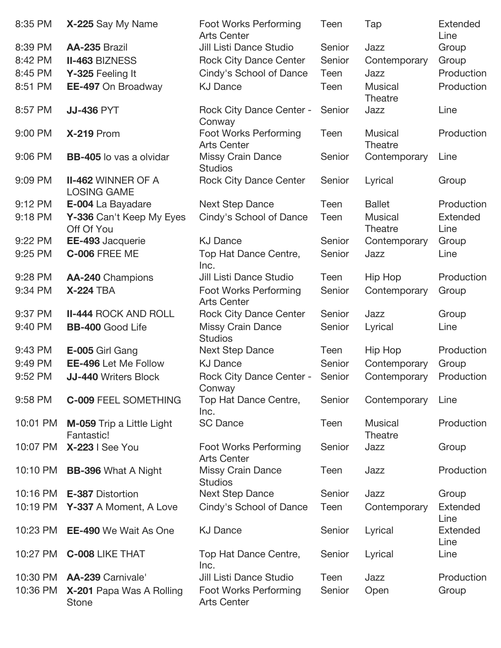| 8:35 PM  | X-225 Say My Name                               | Foot Works Performing<br><b>Arts Center</b>        | Teen   | Tap                              | <b>Extended</b><br>Line |
|----------|-------------------------------------------------|----------------------------------------------------|--------|----------------------------------|-------------------------|
| 8:39 PM  | AA-235 Brazil                                   | Jill Listi Dance Studio                            | Senior | Jazz                             | Group                   |
| 8:42 PM  | <b>II-463 BIZNESS</b>                           | <b>Rock City Dance Center</b>                      | Senior | Contemporary                     | Group                   |
| 8:45 PM  | Y-325 Feeling It                                | Cindy's School of Dance                            | Teen   | Jazz                             | Production              |
| 8:51 PM  | EE-497 On Broadway                              | <b>KJ Dance</b>                                    | Teen   | <b>Musical</b><br>Theatre        | Production              |
| 8:57 PM  | <b>JJ-436 PYT</b>                               | <b>Rock City Dance Center -</b><br>Conway          | Senior | Jazz                             | Line                    |
| 9:00 PM  | <b>X-219 Prom</b>                               | Foot Works Performing<br><b>Arts Center</b>        | Teen   | <b>Musical</b><br>Theatre        | Production              |
| 9:06 PM  | <b>BB-405</b> lo vas a olvidar                  | <b>Missy Crain Dance</b><br><b>Studios</b>         | Senior | Contemporary                     | Line                    |
| 9:09 PM  | <b>II-462 WINNER OF A</b><br><b>LOSING GAME</b> | <b>Rock City Dance Center</b>                      | Senior | Lyrical                          | Group                   |
| 9:12 PM  | E-004 La Bayadare                               | <b>Next Step Dance</b>                             | Teen   | <b>Ballet</b>                    | Production              |
| 9:18 PM  | Y-336 Can't Keep My Eyes<br>Off Of You          | Cindy's School of Dance                            | Teen   | <b>Musical</b><br><b>Theatre</b> | <b>Extended</b><br>Line |
| 9:22 PM  | EE-493 Jacquerie                                | <b>KJ Dance</b>                                    | Senior | Contemporary                     | Group                   |
| 9:25 PM  | <b>C-006 FREE ME</b>                            | Top Hat Dance Centre,<br>Inc.                      | Senior | Jazz                             | Line                    |
| 9:28 PM  | AA-240 Champions                                | Jill Listi Dance Studio                            | Teen   | Hip Hop                          | Production              |
| 9:34 PM  | <b>X-224 TBA</b>                                | <b>Foot Works Performing</b><br><b>Arts Center</b> | Senior | Contemporary                     | Group                   |
| 9:37 PM  | <b>II-444 ROCK AND ROLL</b>                     | <b>Rock City Dance Center</b>                      | Senior | Jazz                             | Group                   |
| 9:40 PM  | <b>BB-400 Good Life</b>                         | <b>Missy Crain Dance</b><br><b>Studios</b>         | Senior | Lyrical                          | Line                    |
| 9:43 PM  | E-005 Girl Gang                                 | <b>Next Step Dance</b>                             | Teen   | Hip Hop                          | Production              |
| 9:49 PM  | <b>EE-496 Let Me Follow</b>                     | <b>KJ Dance</b>                                    | Senior | Contemporary                     | Group                   |
| 9:52 PM  | <b>JJ-440 Writers Block</b>                     | <b>Rock City Dance Center -</b><br>Conway          | Senior | Contemporary                     | Production              |
| 9:58 PM  | <b>C-009 FEEL SOMETHING</b>                     | Top Hat Dance Centre,<br>Inc.                      | Senior | Contemporary                     | Line                    |
| 10:01 PM | <b>M-059</b> Trip a Little Light<br>Fantastic!  | <b>SC Dance</b>                                    | Teen   | <b>Musical</b><br><b>Theatre</b> | Production              |
| 10:07 PM | <b>X-223   See You</b>                          | Foot Works Performing<br><b>Arts Center</b>        | Senior | Jazz                             | Group                   |
| 10:10 PM | <b>BB-396 What A Night</b>                      | <b>Missy Crain Dance</b><br><b>Studios</b>         | Teen   | Jazz                             | Production              |
| 10:16 PM | E-387 Distortion                                | <b>Next Step Dance</b>                             | Senior | Jazz                             | Group                   |
| 10:19 PM | Y-337 A Moment, A Love                          | Cindy's School of Dance                            | Teen   | Contemporary                     | Extended<br>Line        |
| 10:23 PM | <b>EE-490</b> We Wait As One                    | <b>KJ Dance</b>                                    | Senior | Lyrical                          | <b>Extended</b><br>Line |
| 10:27 PM | <b>C-008 LIKE THAT</b>                          | Top Hat Dance Centre,<br>Inc.                      | Senior | Lyrical                          | Line                    |
| 10:30 PM | AA-239 Carnivale'                               | Jill Listi Dance Studio                            | Teen   | Jazz                             | Production              |
| 10:36 PM | X-201 Papa Was A Rolling<br><b>Stone</b>        | <b>Foot Works Performing</b><br><b>Arts Center</b> | Senior | Open                             | Group                   |